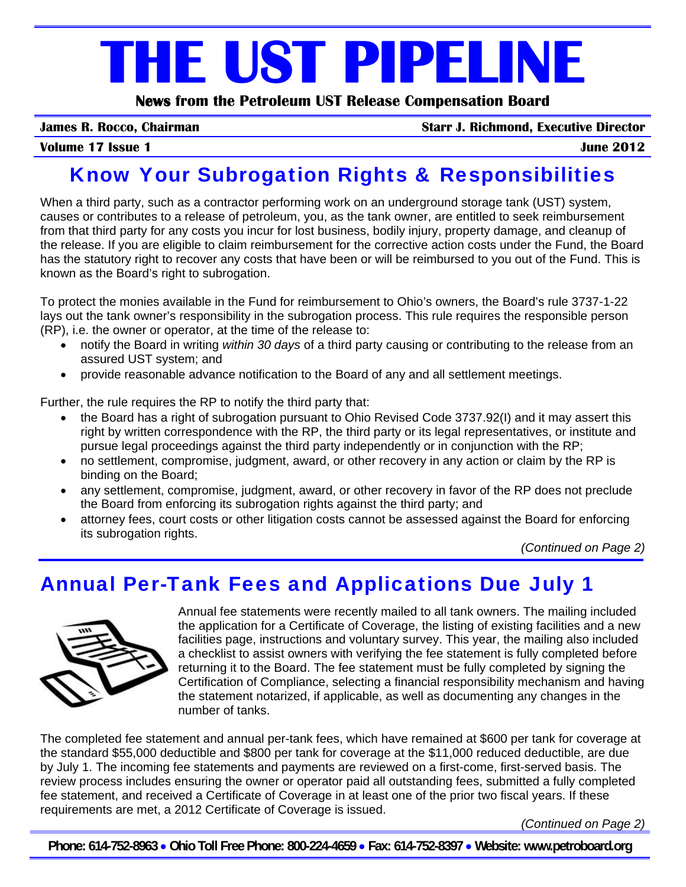# **THE UST PIPELINE**

**News from the Petroleum UST Release Compensation Board** 

**James R. Rocco, Chairman Starr J. Richmond, Executive Director**

#### **Volume 17 Issue 1 June 2012**

## Know Your Subrogation Rights & Responsibilities

When a third party, such as a contractor performing work on an underground storage tank (UST) system, causes or contributes to a release of petroleum, you, as the tank owner, are entitled to seek reimbursement from that third party for any costs you incur for lost business, bodily injury, property damage, and cleanup of the release. If you are eligible to claim reimbursement for the corrective action costs under the Fund, the Board has the statutory right to recover any costs that have been or will be reimbursed to you out of the Fund. This is known as the Board's right to subrogation.

To protect the monies available in the Fund for reimbursement to Ohio's owners, the Board's rule 3737-1-22 lays out the tank owner's responsibility in the subrogation process. This rule requires the responsible person (RP), i.e. the owner or operator, at the time of the release to:

- notify the Board in writing *within 30 days* of a third party causing or contributing to the release from an assured UST system; and
- provide reasonable advance notification to the Board of any and all settlement meetings.

Further, the rule requires the RP to notify the third party that:

- the Board has a right of subrogation pursuant to Ohio Revised Code 3737.92(I) and it may assert this right by written correspondence with the RP, the third party or its legal representatives, or institute and pursue legal proceedings against the third party independently or in conjunction with the RP;
- no settlement, compromise, judgment, award, or other recovery in any action or claim by the RP is binding on the Board;
- any settlement, compromise, judgment, award, or other recovery in favor of the RP does not preclude the Board from enforcing its subrogation rights against the third party; and
- attorney fees, court costs or other litigation costs cannot be assessed against the Board for enforcing its subrogation rights.

*(Continued on Page 2)*

## Annual Per-Tank Fees and Applications Due July 1



Annual fee statements were recently mailed to all tank owners. The mailing included the application for a Certificate of Coverage, the listing of existing facilities and a new facilities page, instructions and voluntary survey. This year, the mailing also included a checklist to assist owners with verifying the fee statement is fully completed before returning it to the Board. The fee statement must be fully completed by signing the Certification of Compliance, selecting a financial responsibility mechanism and having the statement notarized, if applicable, as well as documenting any changes in the number of tanks.

The completed fee statement and annual per-tank fees, which have remained at \$600 per tank for coverage at the standard \$55,000 deductible and \$800 per tank for coverage at the \$11,000 reduced deductible, are due by July 1. The incoming fee statements and payments are reviewed on a first-come, first-served basis. The review process includes ensuring the owner or operator paid all outstanding fees, submitted a fully completed fee statement, and received a Certificate of Coverage in at least one of the prior two fiscal years. If these requirements are met, a 2012 Certificate of Coverage is issued.

*(Continued on Page 2)* 

**Phone: 614-752-8963** • **Ohio Toll Free Phone: 800-224-4659** • **Fax: 614-752-8397** • **Website: www.petroboard.org**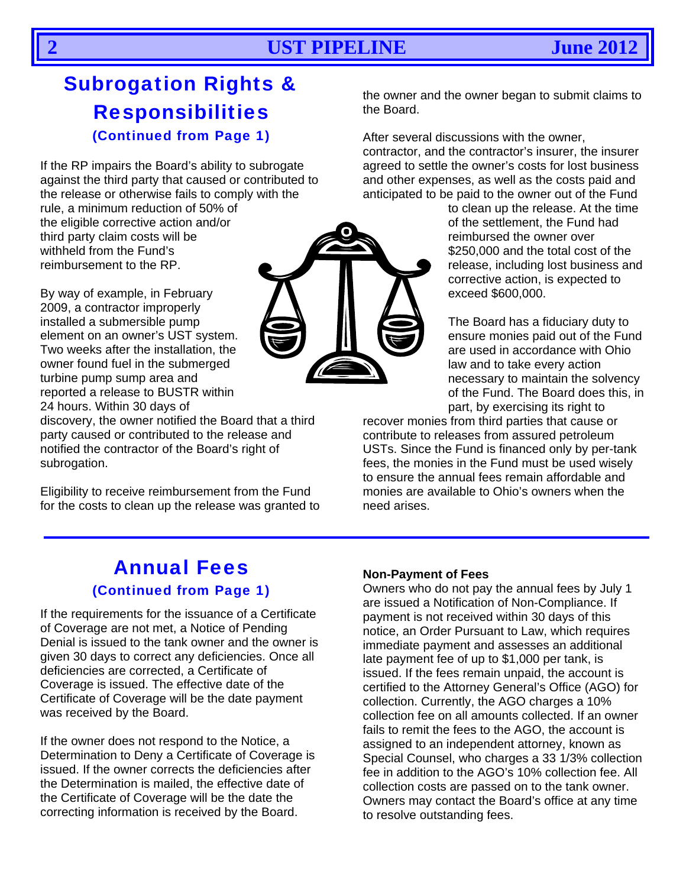## Subrogation Rights & Responsibilities (Continued from Page 1)

If the RP impairs the Board's ability to subrogate against the third party that caused or contributed to the release or otherwise fails to comply with the rule, a minimum reduction of 50% of

the eligible corrective action and/or third party claim costs will be withheld from the Fund's reimbursement to the RP.

By way of example, in February 2009, a contractor improperly installed a submersible pump element on an owner's UST system. Two weeks after the installation, the owner found fuel in the submerged turbine pump sump area and reported a release to BUSTR within 24 hours. Within 30 days of

discovery, the owner notified the Board that a third party caused or contributed to the release and notified the contractor of the Board's right of subrogation.

Eligibility to receive reimbursement from the Fund for the costs to clean up the release was granted to the owner and the owner began to submit claims to the Board.

After several discussions with the owner,

contractor, and the contractor's insurer, the insurer agreed to settle the owner's costs for lost business and other expenses, as well as the costs paid and anticipated to be paid to the owner out of the Fund

to clean up the release. At the time of the settlement, the Fund had reimbursed the owner over \$250,000 and the total cost of the release, including lost business and corrective action, is expected to exceed \$600,000.

The Board has a fiduciary duty to ensure monies paid out of the Fund are used in accordance with Ohio law and to take every action necessary to maintain the solvency of the Fund. The Board does this, in part, by exercising its right to

recover monies from third parties that cause or contribute to releases from assured petroleum USTs. Since the Fund is financed only by per-tank fees, the monies in the Fund must be used wisely to ensure the annual fees remain affordable and monies are available to Ohio's owners when the need arises.

## Annual Fees (Continued from Page 1)

If the requirements for the issuance of a Certificate of Coverage are not met, a Notice of Pending Denial is issued to the tank owner and the owner is given 30 days to correct any deficiencies. Once all deficiencies are corrected, a Certificate of Coverage is issued. The effective date of the Certificate of Coverage will be the date payment was received by the Board.

If the owner does not respond to the Notice, a Determination to Deny a Certificate of Coverage is issued. If the owner corrects the deficiencies after the Determination is mailed, the effective date of the Certificate of Coverage will be the date the correcting information is received by the Board.

#### **Non-Payment of Fees**

Owners who do not pay the annual fees by July 1 are issued a Notification of Non-Compliance. If payment is not received within 30 days of this notice, an Order Pursuant to Law, which requires immediate payment and assesses an additional late payment fee of up to \$1,000 per tank, is issued. If the fees remain unpaid, the account is certified to the Attorney General's Office (AGO) for collection. Currently, the AGO charges a 10% collection fee on all amounts collected. If an owner fails to remit the fees to the AGO, the account is assigned to an independent attorney, known as Special Counsel, who charges a 33 1/3% collection fee in addition to the AGO's 10% collection fee. All collection costs are passed on to the tank owner. Owners may contact the Board's office at any time to resolve outstanding fees.

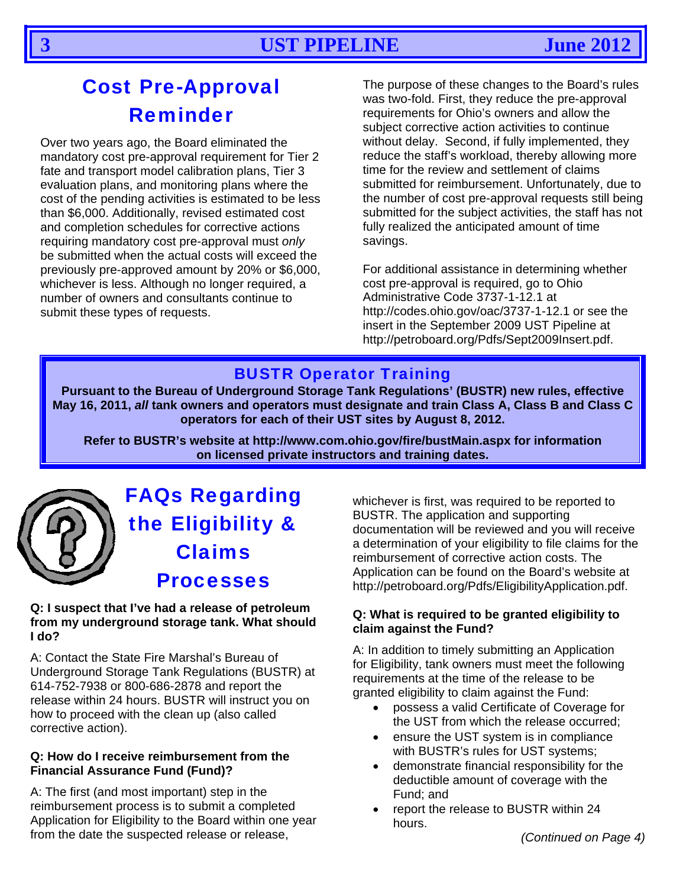## **Cost Pre-Approval Reminder**

Over two years ago, the Board eliminated the mandatory cost pre-approval requirement for Tier 2 fate and transport model calibration plans. Tier 3 evaluation plans, and monitoring plans where the cost of the pending activities is estimated to be less than \$6,000. Additionally, revised estimated cost and completion schedules for corrective actions requiring mandatory cost pre-approval must only be submitted when the actual costs will exceed the previously pre-approved amount by 20% or \$6,000. whichever is less. Although no longer required, a number of owners and consultants continue to submit these types of requests.

The purpose of these changes to the Board's rules was two-fold. First, they reduce the pre-approval requirements for Ohio's owners and allow the subject corrective action activities to continue without delay. Second, if fully implemented, they reduce the staff's workload, thereby allowing more time for the review and settlement of claims submitted for reimbursement. Unfortunately, due to the number of cost pre-approval requests still being submitted for the subject activities, the staff has not fully realized the anticipated amount of time savings.

For additional assistance in determining whether cost pre-approval is required, go to Ohio Administrative Code 3737-1-12.1 at http://codes.ohio.gov/oac/3737-1-12.1 or see the insert in the September 2009 UST Pipeline at http://petroboard.org/Pdfs/Sept2009Insert.pdf.

## **BUSTR Operator Training**

Pursuant to the Bureau of Underground Storage Tank Regulations' (BUSTR) new rules, effective May 16, 2011, all tank owners and operators must designate and train Class A, Class B and Class C operators for each of their UST sites by August 8, 2012.

Refer to BUSTR's website at http://www.com.ohio.gov/fire/bustMain.aspx for information on licensed private instructors and training dates.



## **FAQs Regarding** the Eligibility & **Claims Processes**

#### Q: I suspect that I've had a release of petroleum from my underground storage tank. What should I do?

A: Contact the State Fire Marshal's Bureau of Underground Storage Tank Regulations (BUSTR) at 614-752-7938 or 800-686-2878 and report the release within 24 hours. BUSTR will instruct you on how to proceed with the clean up (also called corrective action).

#### Q: How do I receive reimbursement from the **Financial Assurance Fund (Fund)?**

A: The first (and most important) step in the reimbursement process is to submit a completed Application for Eligibility to the Board within one year from the date the suspected release or release,

whichever is first, was required to be reported to BUSTR. The application and supporting documentation will be reviewed and you will receive a determination of your eligibility to file claims for the reimbursement of corrective action costs. The Application can be found on the Board's website at http://petroboard.org/Pdfs/EligibilityApplication.pdf.

#### Q: What is required to be granted eligibility to claim against the Fund?

A: In addition to timely submitting an Application for Eligibility, tank owners must meet the following requirements at the time of the release to be granted eligibility to claim against the Fund:

- possess a valid Certificate of Coverage for the UST from which the release occurred;
- ensure the UST system is in compliance  $\bullet$ with BUSTR's rules for UST systems;
- demonstrate financial responsibility for the  $\bullet$ deductible amount of coverage with the Fund; and
- report the release to BUSTR within 24 hours.